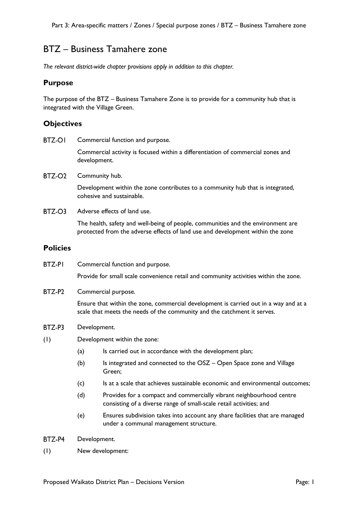# BTZ – Business Tamahere zone

*The relevant district-wide chapter provisions apply in addition to this chapter.*

### **Purpose**

The purpose of the BTZ – Business Tamahere Zone is to provide for a community hub that is integrated with the Village Green.

### **Objectives**

**BTZ-OI** Commercial function and purpose.

> Commercial activity is focused within a differentiation of commercial zones and development.

BTZ-O<sub>2</sub> Community hub.

> Development within the zone contributes to a community hub that is integrated, cohesive and sustainable.

BTZ-O3 Adverse effects of land use.

> The health, safety and well-being of people, communities and the environment are protected from the adverse effects of land use and development within the zone

### **Policies**

**BTZ-PI** Commercial function and purpose.

Provide for small scale convenience retail and community activities within the zone.

BTZ-P2 Commercial purpose.

> Ensure that within the zone, commercial development is carried out in a way and at a scale that meets the needs of the community and the catchment it serves.

- BTZ-P3 Development.
- (1) Development within the zone:
	- (a) Is carried out in accordance with the development plan;
	- (b) Is integrated and connected to the OSZ Open Space zone and Village Green;
	- (c) Is at a scale that achieves sustainable economic and environmental outcomes;
	- (d) Provides for a compact and commercially vibrant neighbourhood centre consisting of a diverse range of small-scale retail activities; and
	- (e) Ensures subdivision takes into account any share facilities that are managed under a communal management structure.
- BTZ-P4 Development.
- (1) New development: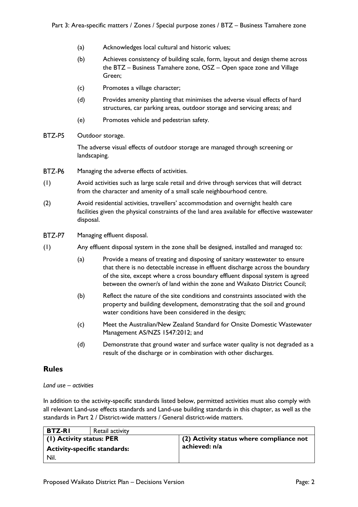- (a) Acknowledges local cultural and historic values;
- (b) Achieves consistency of building scale, form, layout and design theme across the BTZ – Business Tamahere zone, OSZ – Open space zone and Village Green;
- (c) Promotes a village character;
- (d) Provides amenity planting that minimises the adverse visual effects of hard structures, car parking areas, outdoor storage and servicing areas; and
- (e) Promotes vehicle and pedestrian safety.
- BTZ-P5 Outdoor storage.

The adverse visual effects of outdoor storage are managed through screening or landscaping.

- **BT7-P6** Managing the adverse effects of activities.
- (1) Avoid activities such as large scale retail and drive through services that will detract from the character and amenity of a small scale neighbourhood centre.
- (2) Avoid residential activities, travellers' accommodation and overnight health care facilities given the physical constraints of the land area available for effective wastewater disposal.
- **BT7-P7** Managing effluent disposal.
- (1) Any effluent disposal system in the zone shall be designed, installed and managed to:
	- (a) Provide a means of treating and disposing of sanitary wastewater to ensure that there is no detectable increase in effluent discharge across the boundary of the site, except where a cross boundary effluent disposal system is agreed between the owner/s of land within the zone and Waikato District Council;
	- (b) Reflect the nature of the site conditions and constraints associated with the property and building development, demonstrating that the soil and ground water conditions have been considered in the design;
	- (c) Meet the Australian/New Zealand Standard for Onsite Domestic Wastewater Management AS/NZS 1547:2012; and
	- (d) Demonstrate that ground water and surface water quality is not degraded as a result of the discharge or in combination with other discharges.

# **Rules**

#### *Land use – activities*

In addition to the activity-specific standards listed below, permitted activities must also comply with all relevant Land-use effects standards and Land-use building standards in this chapter, as well as the standards in Part 2 / District-wide matters / General district-wide matters.

| <b>BTZ-RI</b>                       | Retail activity |                                          |
|-------------------------------------|-----------------|------------------------------------------|
| (1) Activity status: PER            |                 | (2) Activity status where compliance not |
| <b>Activity-specific standards:</b> |                 | achieved: n/a                            |
| Nil.                                |                 |                                          |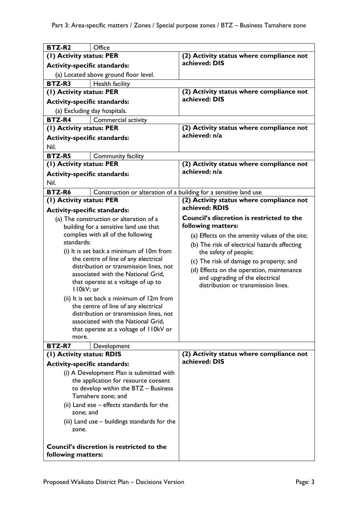| <b>BTZ-R2</b>                                                                   | Office                                                                            |                                                                       |
|---------------------------------------------------------------------------------|-----------------------------------------------------------------------------------|-----------------------------------------------------------------------|
| (1) Activity status: PER                                                        |                                                                                   | (2) Activity status where compliance not<br>achieved: DIS             |
| <b>Activity-specific standards:</b>                                             |                                                                                   |                                                                       |
|                                                                                 | (a) Located above ground floor level.                                             |                                                                       |
| <b>BTZ-R3</b>                                                                   | Health facility                                                                   |                                                                       |
| (1) Activity status: PER                                                        |                                                                                   | (2) Activity status where compliance not                              |
| <b>Activity-specific standards:</b>                                             |                                                                                   | achieved: DIS                                                         |
|                                                                                 | (a) Excluding day hospitals.                                                      |                                                                       |
| <b>BTZ-R4</b>                                                                   | Commercial activity                                                               |                                                                       |
| (1) Activity status: PER                                                        |                                                                                   | (2) Activity status where compliance not                              |
| <b>Activity-specific standards:</b>                                             |                                                                                   | achieved: n/a                                                         |
| Nil.                                                                            |                                                                                   |                                                                       |
| <b>BTZ-R5</b>                                                                   | Community facility                                                                |                                                                       |
| (1) Activity status: PER                                                        |                                                                                   | (2) Activity status where compliance not                              |
| <b>Activity-specific standards:</b>                                             |                                                                                   | achieved: n/a                                                         |
| Nil.                                                                            |                                                                                   |                                                                       |
| BTZ-R6                                                                          | Construction or alteration of a building for a sensitive land use                 |                                                                       |
| (1) Activity status: PER                                                        |                                                                                   | (2) Activity status where compliance not                              |
|                                                                                 |                                                                                   | achieved: RDIS                                                        |
| <b>Activity-specific standards:</b>                                             |                                                                                   | <b>Council's discretion is restricted to the</b>                      |
|                                                                                 | (a) The construction or alteration of a<br>building for a sensitive land use that | following matters:                                                    |
|                                                                                 | complies with all of the following                                                |                                                                       |
| standards:                                                                      |                                                                                   | (a) Effects on the amenity values of the site;                        |
|                                                                                 | (i) It is set back a minimum of 10m from                                          | (b) The risk of electrical hazards affecting<br>the safety of people; |
|                                                                                 | the centre of line of any electrical                                              | (c) The risk of damage to property; and                               |
|                                                                                 | distribution or transmission lines, not                                           | (d) Effects on the operation, maintenance                             |
|                                                                                 | associated with the National Grid,                                                | and upgrading of the electrical                                       |
|                                                                                 | that operate at a voltage of up to                                                | distribution or transmission lines.                                   |
| II0kV; or                                                                       |                                                                                   |                                                                       |
|                                                                                 | (ii) It is set back a minimum of 12m from                                         |                                                                       |
|                                                                                 | the centre of line of any electrical                                              |                                                                       |
|                                                                                 | distribution or transmission lines, not<br>associated with the National Grid,     |                                                                       |
|                                                                                 | that operate at a voltage of II0kV or                                             |                                                                       |
| more.                                                                           |                                                                                   |                                                                       |
| <b>BTZ-R7</b>                                                                   | Development                                                                       |                                                                       |
| (1) Activity status: RDIS                                                       |                                                                                   | (2) Activity status where compliance not                              |
|                                                                                 |                                                                                   | achieved: DIS                                                         |
| <b>Activity-specific standards:</b><br>(i) A Development Plan is submitted with |                                                                                   |                                                                       |
| the application for resource consent                                            |                                                                                   |                                                                       |
| to develop within the BTZ - Business                                            |                                                                                   |                                                                       |
| Tamahere zone; and                                                              |                                                                                   |                                                                       |
| (ii) Land ese - effects standards for the                                       |                                                                                   |                                                                       |
| zone; and                                                                       |                                                                                   |                                                                       |
| (iii) Land use – buildings standards for the                                    |                                                                                   |                                                                       |
| zone.                                                                           |                                                                                   |                                                                       |
|                                                                                 |                                                                                   |                                                                       |
| Council's discretion is restricted to the                                       |                                                                                   |                                                                       |
| following matters:                                                              |                                                                                   |                                                                       |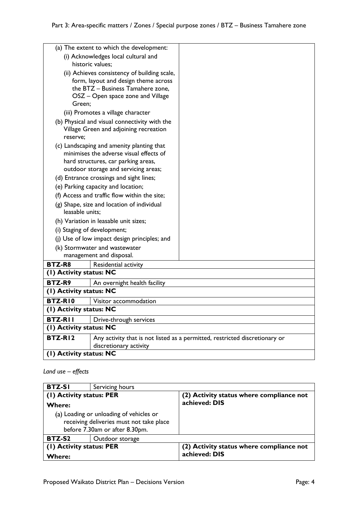|                                              | (a) The extent to which the development:                                    |                                                                             |
|----------------------------------------------|-----------------------------------------------------------------------------|-----------------------------------------------------------------------------|
| (i) Acknowledges local cultural and          |                                                                             |                                                                             |
| historic values;                             |                                                                             |                                                                             |
| (ii) Achieves consistency of building scale, |                                                                             |                                                                             |
|                                              | form, layout and design theme across                                        |                                                                             |
|                                              | the BTZ - Business Tamahere zone,<br>OSZ – Open space zone and Village      |                                                                             |
| Green;                                       |                                                                             |                                                                             |
|                                              | (iii) Promotes a village character                                          |                                                                             |
|                                              | (b) Physical and visual connectivity with the                               |                                                                             |
|                                              | Village Green and adjoining recreation                                      |                                                                             |
| reserve;                                     |                                                                             |                                                                             |
|                                              | (c) Landscaping and amenity planting that                                   |                                                                             |
|                                              | minimises the adverse visual effects of                                     |                                                                             |
|                                              | hard structures, car parking areas,<br>outdoor storage and servicing areas; |                                                                             |
|                                              | (d) Entrance crossings and sight lines;                                     |                                                                             |
|                                              | (e) Parking capacity and location;                                          |                                                                             |
|                                              | (f) Access and traffic flow within the site;                                |                                                                             |
|                                              | (g) Shape, size and location of individual                                  |                                                                             |
| leasable units;                              |                                                                             |                                                                             |
| (h) Variation in leasable unit sizes;        |                                                                             |                                                                             |
| (i) Staging of development;                  |                                                                             |                                                                             |
| (j) Use of low impact design principles; and |                                                                             |                                                                             |
|                                              | (k) Stormwater and wastewater                                               |                                                                             |
|                                              | management and disposal.                                                    |                                                                             |
| <b>BTZ-R8</b>                                | Residential activity                                                        |                                                                             |
| (1) Activity status: NC                      |                                                                             |                                                                             |
| BTZ-R9                                       | An overnight health facility                                                |                                                                             |
| (I) Activity status: NC                      |                                                                             |                                                                             |
| BTZ-RIO                                      | Visitor accommodation                                                       |                                                                             |
| (I) Activity status: NC                      |                                                                             |                                                                             |
| <b>BTZ-RII</b>                               | Drive-through services                                                      |                                                                             |
| (1) Activity status: NC                      |                                                                             |                                                                             |
| BTZ-RI2                                      |                                                                             | Any activity that is not listed as a permitted, restricted discretionary or |
|                                              | discretionary activity                                                      |                                                                             |
| (I) Activity status: NC                      |                                                                             |                                                                             |

# *Land use – effects*

| <b>BTZ-SI</b>                                                                                                         | Servicing hours |                                          |
|-----------------------------------------------------------------------------------------------------------------------|-----------------|------------------------------------------|
| (1) Activity status: PER                                                                                              |                 | (2) Activity status where compliance not |
| Where:                                                                                                                |                 | achieved: DIS                            |
| (a) Loading or unloading of vehicles or<br>receiving deliveries must not take place<br>before 7.30am or after 8.30pm. |                 |                                          |
| BTZ-S2                                                                                                                | Outdoor storage |                                          |
| (1) Activity status: PER                                                                                              |                 | (2) Activity status where compliance not |
| Where:                                                                                                                |                 | achieved: DIS                            |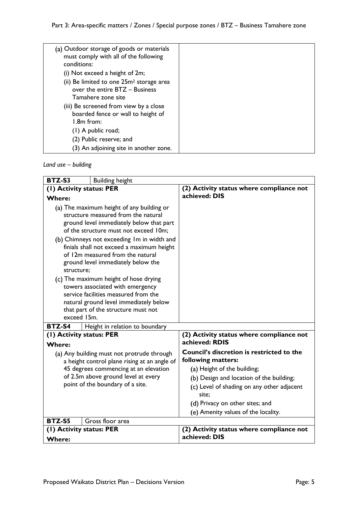| (a) Outdoor storage of goods or materials<br>must comply with all of the following<br>conditions:            |  |
|--------------------------------------------------------------------------------------------------------------|--|
| (i) Not exceed a height of 2m;                                                                               |  |
| (ii) Be limited to one 25m <sup>2</sup> storage area<br>over the entire BTZ - Business<br>Tamahere zone site |  |
| (iii) Be screened from view by a close<br>boarded fence or wall to height of<br>$1.8m$ from:                 |  |
| $(1)$ A public road;                                                                                         |  |
| (2) Public reserve; and                                                                                      |  |
| (3) An adjoining site in another zone.                                                                       |  |

*Land use – building*

| BTZ-S3                                                                                     | <b>Building height</b>                     |                                                                        |
|--------------------------------------------------------------------------------------------|--------------------------------------------|------------------------------------------------------------------------|
| (1) Activity status: PER                                                                   |                                            | (2) Activity status where compliance not                               |
| <b>Where:</b>                                                                              |                                            | achieved: DIS                                                          |
|                                                                                            | (a) The maximum height of any building or  |                                                                        |
| structure measured from the natural                                                        |                                            |                                                                        |
| ground level immediately below that part<br>of the structure must not exceed 10m;          |                                            |                                                                        |
|                                                                                            | (b) Chimneys not exceeding Im in width and |                                                                        |
|                                                                                            | finials shall not exceed a maximum height  |                                                                        |
| of 12m measured from the natural                                                           |                                            |                                                                        |
| ground level immediately below the<br>structure;                                           |                                            |                                                                        |
|                                                                                            | (c) The maximum height of hose drying      |                                                                        |
|                                                                                            | towers associated with emergency           |                                                                        |
|                                                                                            | service facilities measured from the       |                                                                        |
|                                                                                            | natural ground level immediately below     |                                                                        |
| exceed 15m.                                                                                | that part of the structure must not        |                                                                        |
| BTZ-S4                                                                                     | Height in relation to boundary             |                                                                        |
| (I) Activity status: PER                                                                   |                                            | (2) Activity status where compliance not                               |
| <b>Where:</b>                                                                              |                                            | achieved: RDIS                                                         |
| (a) Any building must not protrude through<br>a height control plane rising at an angle of |                                            | <b>Council's discretion is restricted to the</b><br>following matters: |
|                                                                                            | 45 degrees commencing at an elevation      | (a) Height of the building;                                            |
| of 2.5m above ground level at every                                                        |                                            | (b) Design and location of the building;                               |
| point of the boundary of a site.                                                           |                                            | (c) Level of shading on any other adjacent                             |
|                                                                                            |                                            | site:                                                                  |
|                                                                                            |                                            | (d) Privacy on other sites; and<br>(e) Amenity values of the locality. |
| BTZ-S5                                                                                     | Gross floor area                           |                                                                        |
|                                                                                            |                                            | (2) Activity status where compliance not                               |
| (1) Activity status: PER<br><b>Where:</b>                                                  |                                            | achieved: DIS                                                          |